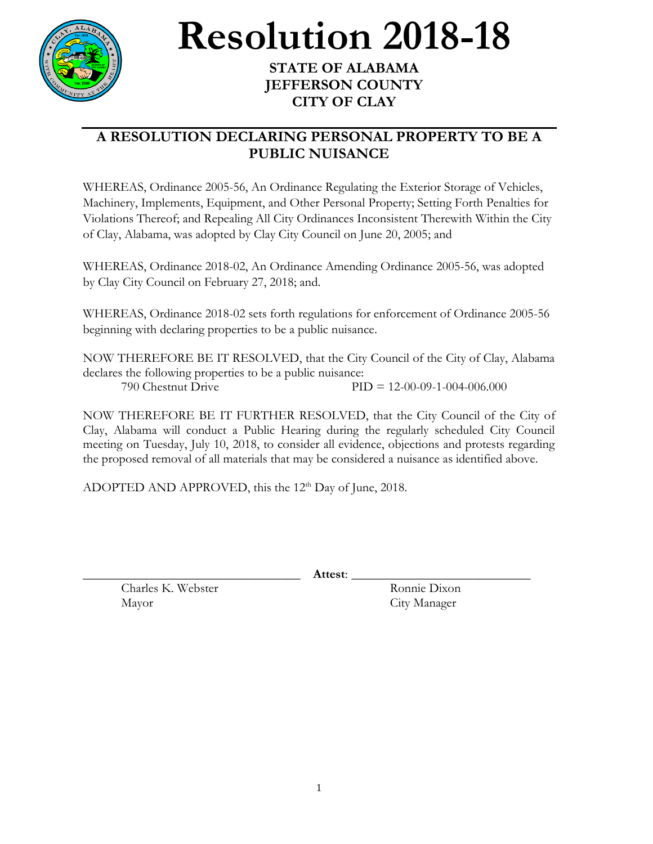

## **Resolution 2018-18**

## **STATE OF ALABAMA JEFFERSON COUNTY CITY OF CLAY**

## **A RESOLUTION DECLARING PERSONAL PROPERTY TO BE A PUBLIC NUISANCE**

WHEREAS, Ordinance 2005-56, An Ordinance Regulating the Exterior Storage of Vehicles, Machinery, Implements, Equipment, and Other Personal Property; Setting Forth Penalties for Violations Thereof; and Repealing All City Ordinances Inconsistent Therewith Within the City of Clay, Alabama, was adopted by Clay City Council on June 20, 2005; and

WHEREAS, Ordinance 2018-02, An Ordinance Amending Ordinance 2005-56, was adopted by Clay City Council on February 27, 2018; and.

WHEREAS, Ordinance 2018-02 sets forth regulations for enforcement of Ordinance 2005-56 beginning with declaring properties to be a public nuisance.

NOW THEREFORE BE IT RESOLVED, that the City Council of the City of Clay, Alabama declares the following properties to be a public nuisance: 790 Chestnut Drive PID = 12-00-09-1-004-006.000

NOW THEREFORE BE IT FURTHER RESOLVED, that the City Council of the City of Clay, Alabama will conduct a Public Hearing during the regularly scheduled City Council meeting on Tuesday, July 10, 2018, to consider all evidence, objections and protests regarding the proposed removal of all materials that may be considered a nuisance as identified above.

ADOPTED AND APPROVED, this the  $12<sup>th</sup>$  Day of June, 2018.

\_\_\_\_\_\_\_\_\_\_\_\_\_\_\_\_\_\_\_\_\_\_\_\_\_\_\_\_\_\_\_\_\_\_ **Attest**: \_\_\_\_\_\_\_\_\_\_\_\_\_\_\_\_\_\_\_\_\_\_\_\_\_\_\_\_

Charles K. Webster Ronnie Dixon Mayor City Manager